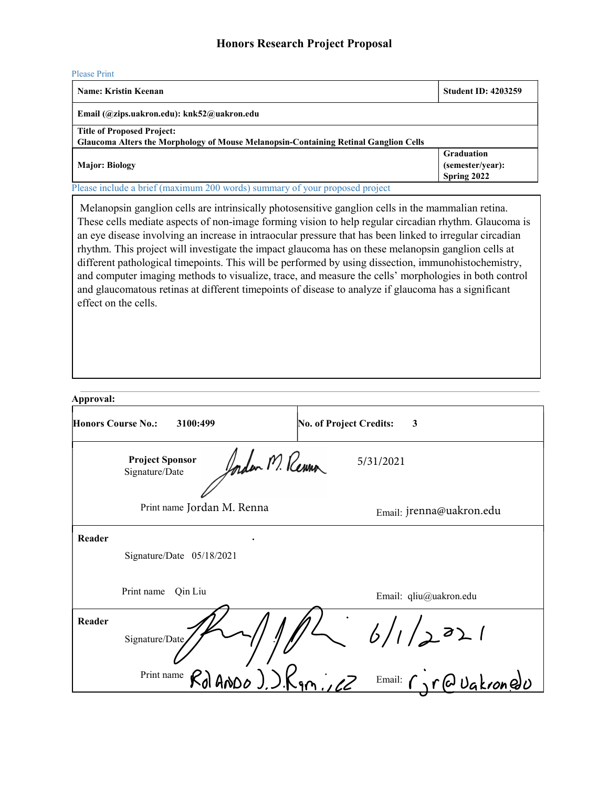## Honors Research Project Proposal

| ÷<br>-- |  |
|---------|--|
|         |  |

| Name: Kristin Keenan                                                                                                             | <b>Student ID: 4203259</b>                           |  |
|----------------------------------------------------------------------------------------------------------------------------------|------------------------------------------------------|--|
| Email (@zips.uakron.edu): knk52@uakron.edu                                                                                       |                                                      |  |
| <b>Title of Proposed Project:</b><br><b>Glaucoma Alters the Morphology of Mouse Melanopsin-Containing Retinal Ganglion Cells</b> |                                                      |  |
| <b>Major: Biology</b>                                                                                                            | <b>Graduation</b><br>(semester/year):<br>Spring 2022 |  |
| Please include a brief (maximum 200 words) summary of your proposed project                                                      |                                                      |  |

 Melanopsin ganglion cells are intrinsically photosensitive ganglion cells in the mammalian retina. These cells mediate aspects of non-image forming vision to help regular circadian rhythm. Glaucoma is an eye disease involving an increase in intraocular pressure that has been linked to irregular circadian rhythm. This project will investigate the impact glaucoma has on these melanopsin ganglion cells at different pathological timepoints. This will be performed by using dissection, immunohistochemistry, and computer imaging methods to visualize, trace, and measure the cells' morphologies in both control and glaucomatous retinas at different timepoints of disease to analyze if glaucoma has a significant effect on the cells.

| Approval:                 |                                          |                                        |
|---------------------------|------------------------------------------|----------------------------------------|
| <b>Honors Course No.:</b> | 3100:499                                 | <b>No. of Project Credits:</b><br>3    |
|                           | <b>Project Sponsor</b><br>Signature/Date | Ander M. Renna<br>5/31/2021            |
|                           | Print name Jordan M. Renna               | Email: jrenna@uakron.edu               |
| Reader                    |                                          |                                        |
|                           | Signature/Date 05/18/2021                |                                        |
|                           | Print name<br>Qin Liu                    | Email: qliu@uakron.edu                 |
| Reader                    | Signature/Date                           | 6/1/2021                               |
|                           | Print name $R_{d}$ ANDO ). $R_{9}$ , $2$ | $E_{\text{mail:}} \cap \{0, 0, 0, 0\}$ |